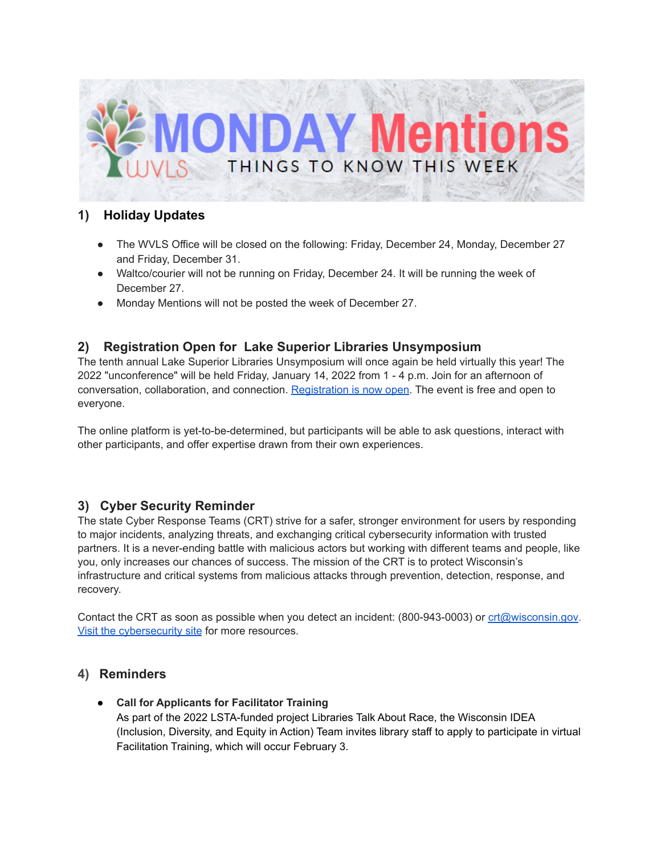

## **1) Holiday Updates**

- The WVLS Office will be closed on the following: Friday, December 24, Monday, December 27 and Friday, December 31.
- Waltco/courier will not be running on Friday, December 24. It will be running the week of December 27.
- Monday Mentions will not be posted the week of December 27.

## **2) Registration Open for Lake Superior Libraries Unsymposium**

The tenth annual Lake Superior Libraries Unsymposium will once again be held virtually this year! The 2022 "unconference" will be held Friday, January 14, 2022 from 1 - 4 p.m. Join for an afternoon of conversation, collaboration, and connection. [Registration](https://docs.google.com/forms/d/e/1FAIpQLSeLlNkCH0PFTDQcKgg4xsgJZ_8zvVopGC5CtKOfCwi-Rw2Yjg/viewform) is now open. The event is free and open to everyone.

The online platform is yet-to-be-determined, but participants will be able to ask questions, interact with other participants, and offer expertise drawn from their own experiences.

## **3) Cyber Security Reminder**

The state Cyber Response Teams (CRT) strive for a safer, stronger environment for users by responding to major incidents, analyzing threats, and exchanging critical cybersecurity information with trusted partners. It is a never-ending battle with malicious actors but working with different teams and people, like you, only increases our chances of success. The mission of the CRT is to protect Wisconsin's infrastructure and critical systems from malicious attacks through prevention, detection, response, and recovery.

Contact the CRT as soon as possible when you detect an incident: (800-943-0003) or [crt@wisconsin.gov.](mailto:crt@wisconsin.gov) Visit the [cybersecurity](https://dpi.wi.gov/cyber-security/cyber-security-resources) site for more resources.

## **4) Reminders**

● **Call for Applicants for Facilitator Training**

As part of the 2022 LSTA-funded project Libraries Talk About Race, the Wisconsin IDEA (Inclusion, Diversity, and Equity in Action) Team invites library staff to apply to participate in virtual Facilitation Training, which will occur February 3.